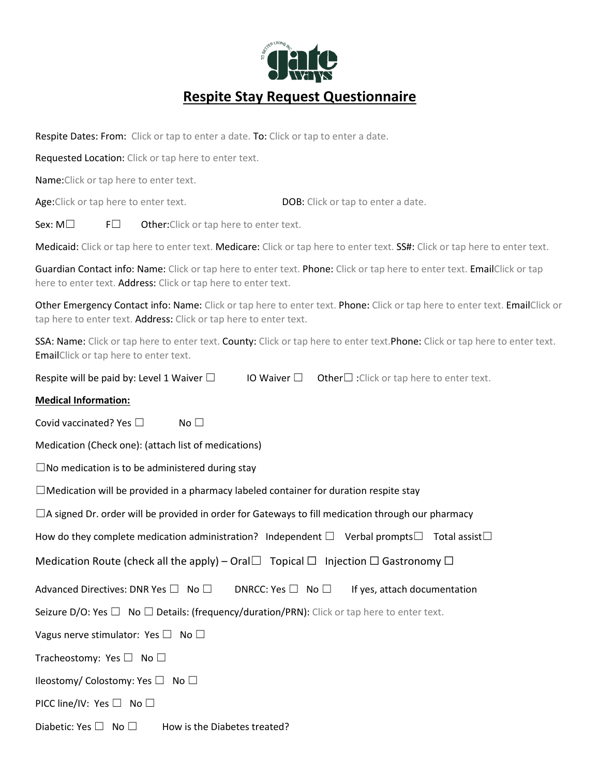

Respite Dates: From: Click or tap to enter a date. To: Click or tap to enter a date.

Requested Location: Click or tap here to enter text.

Name:Click or tap here to enter text.

Age:Click or tap here to enter text. DOB: Click or tap to enter a date.

Sex:  $M \Box$  F $\Box$  Other: Click or tap here to enter text.

Medicaid: Click or tap here to enter text. Medicare: Click or tap here to enter text. SS#: Click or tap here to enter text.

Guardian Contact info: Name: Click or tap here to enter text. Phone: Click or tap here to enter text. EmailClick or tap here to enter text. Address: Click or tap here to enter text.

Other Emergency Contact info: Name: Click or tap here to enter text. Phone: Click or tap here to enter text. EmailClick or tap here to enter text. Address: Click or tap here to enter text.

SSA: Name: Click or tap here to enter text. County: Click or tap here to enter text. Phone: Click or tap here to enter text. EmailClick or tap here to enter text.

| Respite will be paid by: Level 1 Waiver $\square$ |  | <b>IO Waiver</b> $\Box$ <b>Other</b> $\Box$ : Click or tap here to enter text. |
|---------------------------------------------------|--|--------------------------------------------------------------------------------|
|---------------------------------------------------|--|--------------------------------------------------------------------------------|

## **Medical Information:**

Covid vaccinated? Yes □ No □

Medication (Check one): (attach list of medications)

 $\square$ No medication is to be administered during stay

 $\Box$ Medication will be provided in a pharmacy labeled container for duration respite stay

 $\Box$ A signed Dr. order will be provided in order for Gateways to fill medication through our pharmacy

How do they complete medication administration? Independent  $\square$  Verbal prompts $\square$  Total assist $\square$ 

Medication Route (check all the apply) – Oral $\Box$  Topical  $\Box$  Injection  $\Box$  Gastronomy  $\Box$ 

Advanced Directives: DNR Yes  $\square$  No  $\square$  DNRCC: Yes  $\square$  No  $\square$  If yes, attach documentation

Seizure D/O: Yes  $\Box$  No  $\Box$  Details: (frequency/duration/PRN): Click or tap here to enter text.

Vagus nerve stimulator: Yes  $\Box$  No  $\Box$ 

Tracheostomy: Yes □ No □

Ileostomy/ Colostomy: Yes ☐ No ☐

PICC line/IV: Yes □ No □

Diabetic: Yes  $\Box$  No  $\Box$  How is the Diabetes treated?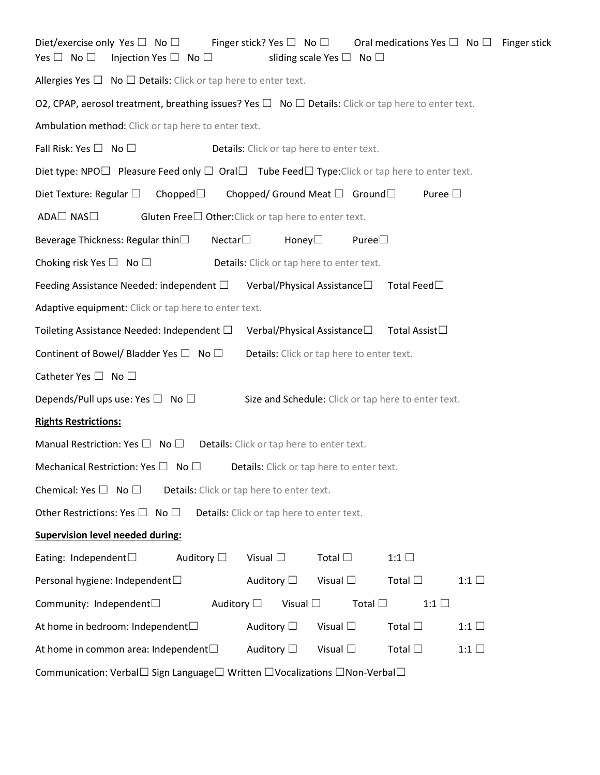| Finger stick? Yes $\square$ No $\square$<br>Diet/exercise only Yes $\square$ No $\square$<br>Oral medications Yes $\Box$ No $\Box$ Finger stick<br>Yes $\Box$ No $\Box$<br>Injection Yes $\square$ No $\square$<br>sliding scale Yes $\square$ No $\square$ |  |  |  |
|-------------------------------------------------------------------------------------------------------------------------------------------------------------------------------------------------------------------------------------------------------------|--|--|--|
| Allergies Yes $\Box$ No $\Box$ Details: Click or tap here to enter text.                                                                                                                                                                                    |  |  |  |
| O2, CPAP, aerosol treatment, breathing issues? Yes $\Box$ No $\Box$ Details: Click or tap here to enter text.                                                                                                                                               |  |  |  |
| Ambulation method: Click or tap here to enter text.                                                                                                                                                                                                         |  |  |  |
| Fall Risk: Yes $\square$ No $\square$<br>Details: Click or tap here to enter text.                                                                                                                                                                          |  |  |  |
| Diet type: NPO $\Box$ Pleasure Feed only $\Box$ Oral $\Box$ Tube Feed $\Box$ Type: Click or tap here to enter text.                                                                                                                                         |  |  |  |
| Diet Texture: Regular $\square$<br>Chopped $\square$<br>Chopped/ Ground Meat $\Box$ Ground $\Box$<br>Puree $\square$                                                                                                                                        |  |  |  |
| ADA□ NAS□<br>Gluten Free $\square$ Other: Click or tap here to enter text.                                                                                                                                                                                  |  |  |  |
| Beverage Thickness: Regular thin□<br>Nectar<br>Puree<br>Honey $\Box$                                                                                                                                                                                        |  |  |  |
| Choking risk Yes $\Box$ No $\Box$<br>Details: Click or tap here to enter text.                                                                                                                                                                              |  |  |  |
| Feeding Assistance Needed: independent $\Box$<br>Total Feed□<br>Verbal/Physical Assistance $\square$                                                                                                                                                        |  |  |  |
| Adaptive equipment: Click or tap here to enter text.                                                                                                                                                                                                        |  |  |  |
| Verbal/Physical Assistance□<br>Total Assist□<br>Toileting Assistance Needed: Independent $\Box$                                                                                                                                                             |  |  |  |
| Continent of Bowel/ Bladder Yes $\Box$ No $\Box$<br>Details: Click or tap here to enter text.                                                                                                                                                               |  |  |  |
| Catheter Yes $\square$ No $\square$                                                                                                                                                                                                                         |  |  |  |
| Depends/Pull ups use: Yes $\square$ No $\square$<br>Size and Schedule: Click or tap here to enter text.                                                                                                                                                     |  |  |  |
| <b>Rights Restrictions:</b>                                                                                                                                                                                                                                 |  |  |  |
| Manual Restriction: Yes $\square$ No $\square$<br>Details: Click or tap here to enter text.                                                                                                                                                                 |  |  |  |
| Mechanical Restriction: Yes $\square$ No $\square$<br>Details: Click or tap here to enter text.                                                                                                                                                             |  |  |  |
| Chemical: Yes $\square$ No $\square$<br>Details: Click or tap here to enter text.                                                                                                                                                                           |  |  |  |
| Other Restrictions: Yes $\square$ No $\square$<br>Details: Click or tap here to enter text.                                                                                                                                                                 |  |  |  |
| <b>Supervision level needed during:</b>                                                                                                                                                                                                                     |  |  |  |
| Auditory $\square$<br>Total $\square$<br>Eating: Independent $\square$<br>Visual $\square$<br>$1:1$ $\Box$                                                                                                                                                  |  |  |  |
| Auditory $\Box$<br>Visual $\square$<br>Total $\square$<br>Personal hygiene: Independent□<br>1:1 $\square$                                                                                                                                                   |  |  |  |
| Community: Independent□<br>Auditory $\Box$<br>Visual $\square$<br>Total $\square$<br>$1:1$ $\Box$                                                                                                                                                           |  |  |  |
| At home in bedroom: Independent□<br>Auditory $\Box$<br>Visual $\square$<br>Total $\square$<br>1:1 $\square$                                                                                                                                                 |  |  |  |
| At home in common area: Independent $\Box$<br>Auditory $\Box$<br>Visual $\square$<br>Total $\square$<br>$1:1$ $\Box$                                                                                                                                        |  |  |  |
| Communication: Verbal $\Box$ Sign Language $\Box$ Written $\Box$ Vocalizations $\Box$ Non-Verbal $\Box$                                                                                                                                                     |  |  |  |